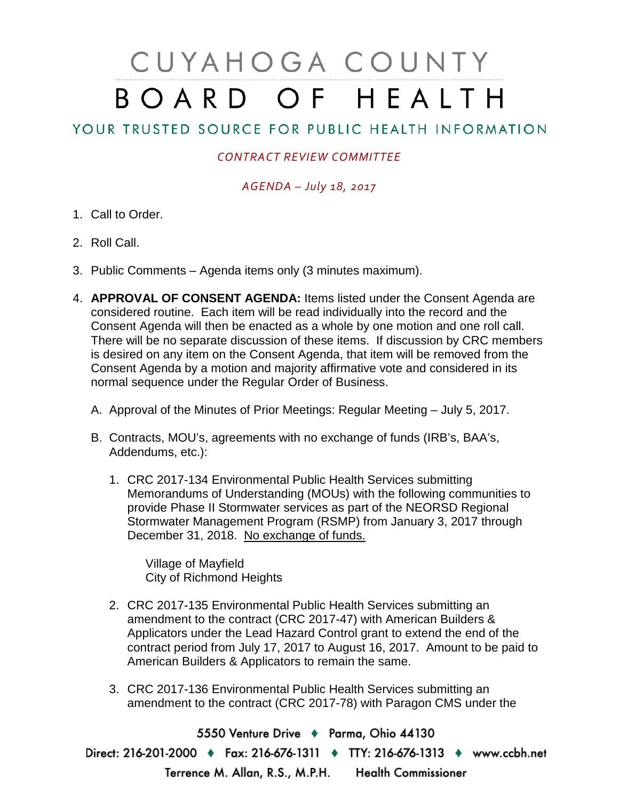# CUYAHOGA COUNTY BOARD OF HEALTH

## YOUR TRUSTED SOURCE FOR PUBLIC HEALTH INFORMATION

### *CONTRACT REVIEW COMMITTEE*

### *AGENDA – July 18, 2017*

- 1. Call to Order.
- 2. Roll Call.
- 3. Public Comments Agenda items only (3 minutes maximum).
- 4. **APPROVAL OF CONSENT AGENDA:** Items listed under the Consent Agenda are considered routine. Each item will be read individually into the record and the Consent Agenda will then be enacted as a whole by one motion and one roll call. There will be no separate discussion of these items. If discussion by CRC members is desired on any item on the Consent Agenda, that item will be removed from the Consent Agenda by a motion and majority affirmative vote and considered in its normal sequence under the Regular Order of Business.
	- A. Approval of the Minutes of Prior Meetings: Regular Meeting July 5, 2017.
	- B. Contracts, MOU's, agreements with no exchange of funds (IRB's, BAA's, Addendums, etc.):
		- 1. CRC 2017-134 Environmental Public Health Services submitting Memorandums of Understanding (MOUs) with the following communities to provide Phase II Stormwater services as part of the NEORSD Regional Stormwater Management Program (RSMP) from January 3, 2017 through December 31, 2018. No exchange of funds.

Village of Mayfield City of Richmond Heights

- 2. CRC 2017-135 Environmental Public Health Services submitting an amendment to the contract (CRC 2017-47) with American Builders & Applicators under the Lead Hazard Control grant to extend the end of the contract period from July 17, 2017 to August 16, 2017. Amount to be paid to American Builders & Applicators to remain the same.
- 3. CRC 2017-136 Environmental Public Health Services submitting an amendment to the contract (CRC 2017-78) with Paragon CMS under the

5550 Venture Drive + Parma, Ohio 44130 Direct: 216-201-2000 • Fax: 216-676-1311 • TTY: 216-676-1313 • www.ccbh.net Terrence M. Allan, R.S., M.P.H. Health Commissioner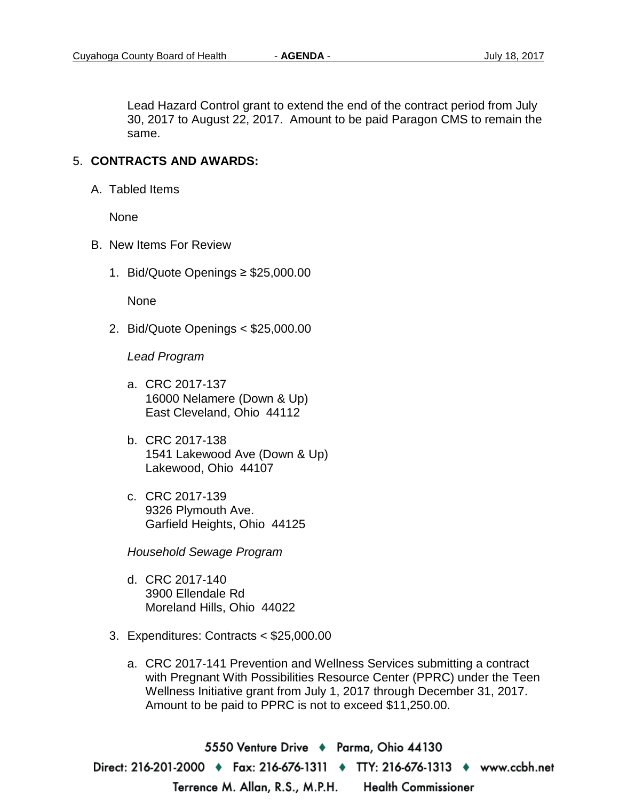Lead Hazard Control grant to extend the end of the contract period from July 30, 2017 to August 22, 2017. Amount to be paid Paragon CMS to remain the same.

#### 5. **CONTRACTS AND AWARDS:**

A. Tabled Items

None

- B. New Items For Review
	- 1. Bid/Quote Openings ≥ \$25,000.00

None

2. Bid/Quote Openings < \$25,000.00

*Lead Program* 

- a. CRC 2017-137 16000 Nelamere (Down & Up) East Cleveland, Ohio 44112
- b. CRC 2017-138 1541 Lakewood Ave (Down & Up) Lakewood, Ohio 44107
- c. CRC 2017-139 9326 Plymouth Ave. Garfield Heights, Ohio 44125

*Household Sewage Program* 

- d. CRC 2017-140 3900 Ellendale Rd Moreland Hills, Ohio 44022
- 3. Expenditures: Contracts < \$25,000.00
	- a. CRC 2017-141 Prevention and Wellness Services submitting a contract with Pregnant With Possibilities Resource Center (PPRC) under the Teen Wellness Initiative grant from July 1, 2017 through December 31, 2017. Amount to be paid to PPRC is not to exceed \$11,250.00.

5550 Venture Drive ♦ Parma, Ohio 44130 Direct: 216-201-2000 ♦ Fax: 216-676-1311 ♦ TTY: 216-676-1313 ♦ www.ccbh.net Terrence M. Allan, R.S., M.P.H. **Health Commissioner**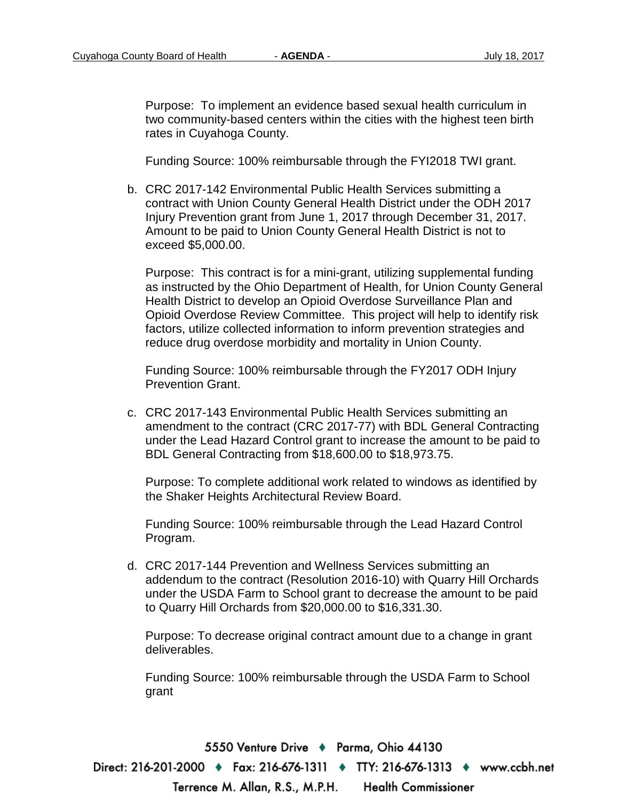Purpose: To implement an evidence based sexual health curriculum in two community-based centers within the cities with the highest teen birth rates in Cuyahoga County.

Funding Source: 100% reimbursable through the FYI2018 TWI grant.

b. CRC 2017-142 Environmental Public Health Services submitting a contract with Union County General Health District under the ODH 2017 Injury Prevention grant from June 1, 2017 through December 31, 2017. Amount to be paid to Union County General Health District is not to exceed \$5,000.00.

Purpose: This contract is for a mini-grant, utilizing supplemental funding as instructed by the Ohio Department of Health, for Union County General Health District to develop an Opioid Overdose Surveillance Plan and Opioid Overdose Review Committee. This project will help to identify risk factors, utilize collected information to inform prevention strategies and reduce drug overdose morbidity and mortality in Union County.

Funding Source: 100% reimbursable through the FY2017 ODH Injury Prevention Grant.

c. CRC 2017-143 Environmental Public Health Services submitting an amendment to the contract (CRC 2017-77) with BDL General Contracting under the Lead Hazard Control grant to increase the amount to be paid to BDL General Contracting from \$18,600.00 to \$18,973.75.

Purpose: To complete additional work related to windows as identified by the Shaker Heights Architectural Review Board.

Funding Source: 100% reimbursable through the Lead Hazard Control Program.

d. CRC 2017-144 Prevention and Wellness Services submitting an addendum to the contract (Resolution 2016-10) with Quarry Hill Orchards under the USDA Farm to School grant to decrease the amount to be paid to Quarry Hill Orchards from \$20,000.00 to \$16,331.30.

Purpose: To decrease original contract amount due to a change in grant deliverables.

Funding Source: 100% reimbursable through the USDA Farm to School grant

5550 Venture Drive + Parma, Ohio 44130 Direct: 216-201-2000 ♦ Fax: 216-676-1311 ♦ TTY: 216-676-1313 ♦ www.ccbh.net **Health Commissioner** Terrence M. Allan, R.S., M.P.H.